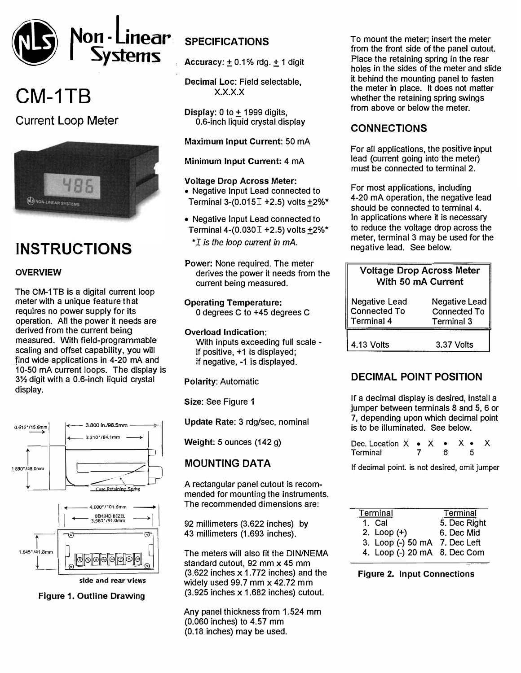

# **CM-1TB**

## Current Loop Meter



## **INSTRUCTIONS**

#### **OVERVIEW**

The CM-1 TB is a digital current loop meter with a unique feature that requires no power supply for its operation. All the power it needs are derived from the current being measured. With field-programmable scaling and offset capability, you will find wide applications in 4-20 mA and 10-50 mA current loops. The display is 3% digit with a 0.6-inch liquid crystal display.





**side and rear views** 

**Figure 1. Outline Drawing** 

### **SPECIFICATIONS**

Accuracy:  $\pm$  0.1% rdg.  $\pm$  1 digit

Decimal Loe: Field selectable, x.x.x.x

**Display:** 0 to  $\pm$  1999 digits, 0.6-inch liquid crystal display

Maximum Input Current: 50 mA

Minimum Input Current: 4 mA

#### **Voltage Drop Across Meter:**

- Negative Input Lead connected to Terminal 3-(0.015 $I$  +2.5) volts +2%\*
- Negative Input Lead connected to Terminal 4-(0.030 $I + 2.5$ ) volts  $+2\%$ \* \* *I is the loop current in mA.*
- **Power:** None required. The meter derives the power it needs from the current being measured.

**Operating Temperature:**  0 degrees C to +45 degrees C

**Overload Indication:**  With inputs exceeding full scale if positive, +1 is displayed; if negative, -1 is displayed.

**Polarity:** Automatic

**Size:** See Figure **1** 

**Update Rate: 3** rdg/sec, nominal

**Weight:** 5 ounces (142 g)

#### **MOUNTING DATA**

A rectangular panel cutout is recommended for mounting the instruments. The recommended dimensions are:

92 millimeters (3.622 inches) by 43 millimeters (1.693 inches).

The meters will also fit the DIN/NEMA standard cutout, 92 mm x 45 mm (3.622 inches x 1.772 inches) and the widely used 99.7 mm x 42.72 mm (3.925 inches x 1.682 inches) cutout.

Any panel thickness from 1.524 mm (0.060 inches) to 4.57 mm (0.18 inches) may be used.

To mount the meter; insert the meter from the front side of the panel cutout. Place the retaining spring in the rear holes in the sides of the meter and slide it behind the mounting panel to fasten the meter in place. It does not matter whether the retaining spring swings from above or below the meter.

#### **CONNECTIONS**

For all applications, the positive input lead (current going into the meter) must be connected to terminal 2.

For most applications, including 4-20 mA operation, the negative lead should be connected to terminal **4.** In applications where it is necessary to reduce the voltage drop across the meter, terminal 3 may be used for the negative lead. See below.

| <b>Voltage Drop Across Meter</b><br>With 50 mA Current    |                                                           |  |
|-----------------------------------------------------------|-----------------------------------------------------------|--|
| <b>Negative Lead</b><br>Connected To<br><b>Terminal 4</b> | Negative Lead<br><b>Connected To</b><br><b>Terminal 3</b> |  |
| 4.13 Volts                                                | 3.37 Volts                                                |  |

#### **DECIMAL POINT POSITION**

If a decimal display is desired, install a jumper between terminals 8 and 5, 6 or 7, depending upon which decimal point is to be illuminated. See below.

| Dec. Location $X \bullet X \bullet X \bullet$ |  |   |  |
|-----------------------------------------------|--|---|--|
| Terminal                                      |  | 6 |  |

If decimal point. is not desired, omit jumper

| Terminal                      | Terminal     |
|-------------------------------|--------------|
| 1 Cal                         | 5. Dec Right |
| 2. $Loop (+)$                 | 6. Dec Mid   |
| 3. Loop (-) 50 mA 7. Dec Left |              |
| 4. Loop (-) 20 mA 8. Dec Com  |              |

Figure 2. Input Connections